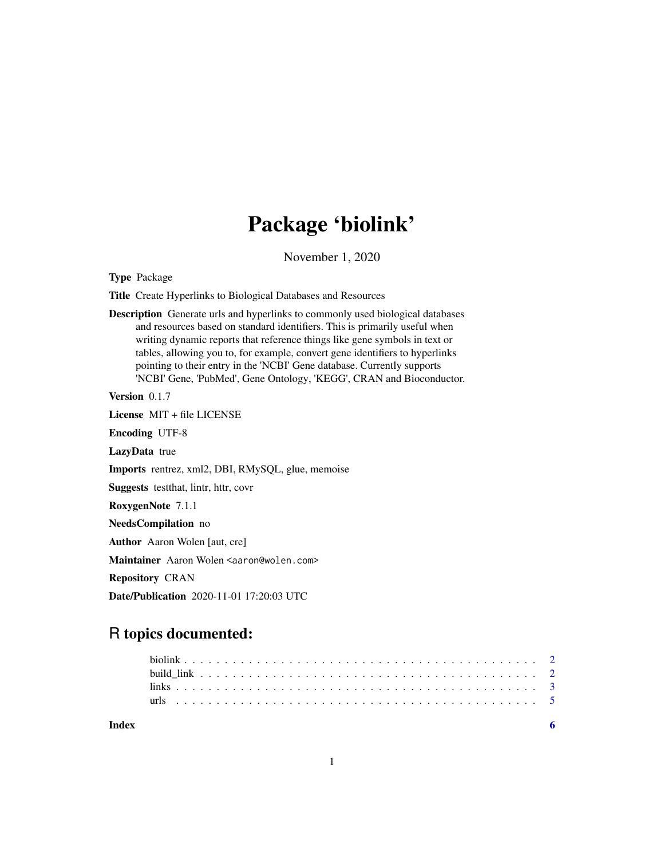## Package 'biolink'

November 1, 2020

Type Package

Title Create Hyperlinks to Biological Databases and Resources

Description Generate urls and hyperlinks to commonly used biological databases and resources based on standard identifiers. This is primarily useful when writing dynamic reports that reference things like gene symbols in text or tables, allowing you to, for example, convert gene identifiers to hyperlinks pointing to their entry in the 'NCBI' Gene database. Currently supports 'NCBI' Gene, 'PubMed', Gene Ontology, 'KEGG', CRAN and Bioconductor.

Version 0.1.7

License MIT + file LICENSE

Encoding UTF-8

LazyData true

Imports rentrez, xml2, DBI, RMySQL, glue, memoise

Suggests testthat, lintr, httr, covr

RoxygenNote 7.1.1

NeedsCompilation no

Author Aaron Wolen [aut, cre]

Maintainer Aaron Wolen <aaron@wolen.com>

Repository CRAN

Date/Publication 2020-11-01 17:20:03 UTC

### R topics documented:

| Index |  |  |  |  |  |  |  |  |  |  |  |  |  |  |  |  |  |  |  |  |  |  |  |
|-------|--|--|--|--|--|--|--|--|--|--|--|--|--|--|--|--|--|--|--|--|--|--|--|
|       |  |  |  |  |  |  |  |  |  |  |  |  |  |  |  |  |  |  |  |  |  |  |  |
|       |  |  |  |  |  |  |  |  |  |  |  |  |  |  |  |  |  |  |  |  |  |  |  |
|       |  |  |  |  |  |  |  |  |  |  |  |  |  |  |  |  |  |  |  |  |  |  |  |
|       |  |  |  |  |  |  |  |  |  |  |  |  |  |  |  |  |  |  |  |  |  |  |  |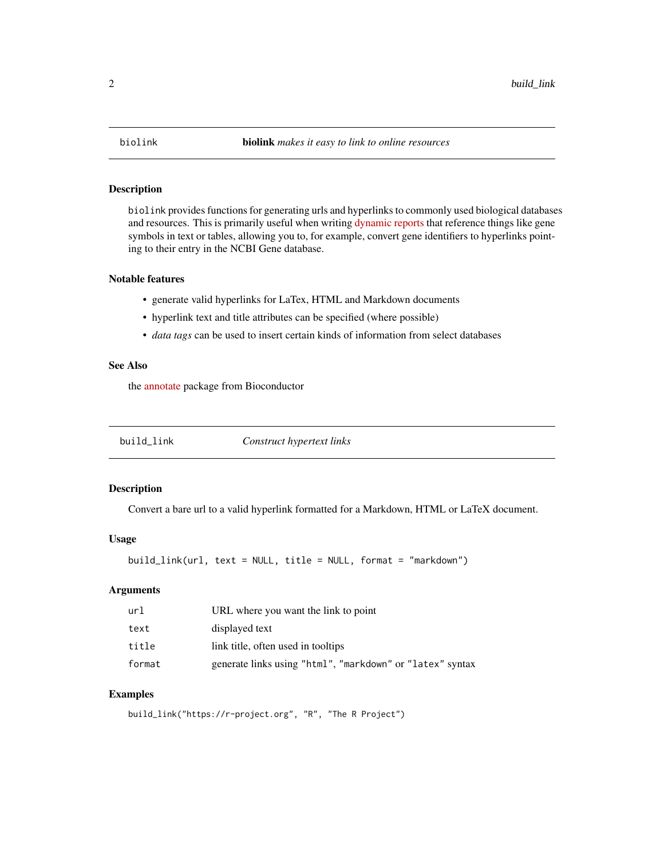<span id="page-1-0"></span>

#### Description

biolink provides functions for generating urls and hyperlinks to commonly used biological databases and resources. This is primarily useful when writing [dynamic reports](https://yihui.org/knitr/) that reference things like gene symbols in text or tables, allowing you to, for example, convert gene identifiers to hyperlinks pointing to their entry in the NCBI Gene database.

#### Notable features

- generate valid hyperlinks for LaTex, HTML and Markdown documents
- hyperlink text and title attributes can be specified (where possible)
- *data tags* can be used to insert certain kinds of information from select databases

#### See Also

the [annotate](https://bioconductor.org/packages/annotate) package from Bioconductor

| build_link | Construct hypertext links |
|------------|---------------------------|
|            |                           |

#### Description

Convert a bare url to a valid hyperlink formatted for a Markdown, HTML or LaTeX document.

#### Usage

build\_link(url, text = NULL, title = NULL, format = "markdown")

#### Arguments

| url    | URL where you want the link to point                      |
|--------|-----------------------------------------------------------|
| text   | displayed text                                            |
| title  | link title, often used in tooltips                        |
| format | generate links using "html", "markdown" or "latex" syntax |

#### Examples

build\_link("https://r-project.org", "R", "The R Project")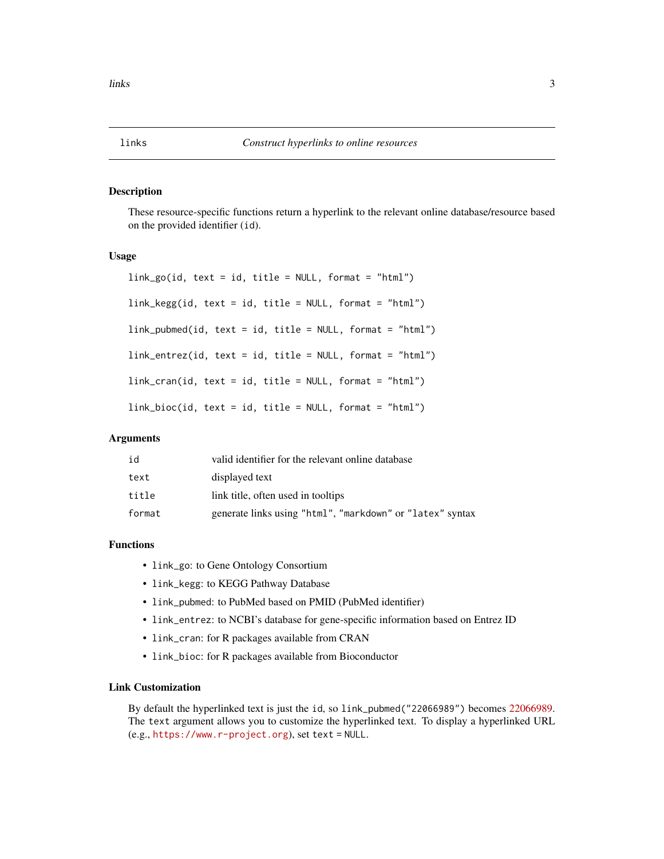#### <span id="page-2-0"></span>Description

These resource-specific functions return a hyperlink to the relevant online database/resource based on the provided identifier (id).

#### Usage

```
link_go(id, text = id, title = NULL, format = "html")link_kegg(id, text = id, title = NULL, format = "html")
link\_pubmed(id, text = id, title = NULL, format = "html")link_entrez(id, text = id, title = NULL, format = "html")
link_cran(id, text = id, title = NULL, format = "html")
link_bioc(id, text = id, title = NULL, format = "html")
```
#### Arguments

| id     | valid identifier for the relevant online database         |
|--------|-----------------------------------------------------------|
| text   | displayed text                                            |
| title  | link title, often used in tooltips                        |
| format | generate links using "html", "markdown" or "latex" syntax |

#### Functions

- link\_go: to Gene Ontology Consortium
- link\_kegg: to KEGG Pathway Database
- link\_pubmed: to PubMed based on PMID (PubMed identifier)
- link\_entrez: to NCBI's database for gene-specific information based on Entrez ID
- link\_cran: for R packages available from CRAN
- link\_bioc: for R packages available from Bioconductor

#### Link Customization

By default the hyperlinked text is just the id, so link\_pubmed("22066989") becomes [22066989.](https://pubmed.ncbi.nlm.nih.gov/22066989) The text argument allows you to customize the hyperlinked text. To display a hyperlinked URL (e.g., <https://www.r-project.org>), set text = NULL.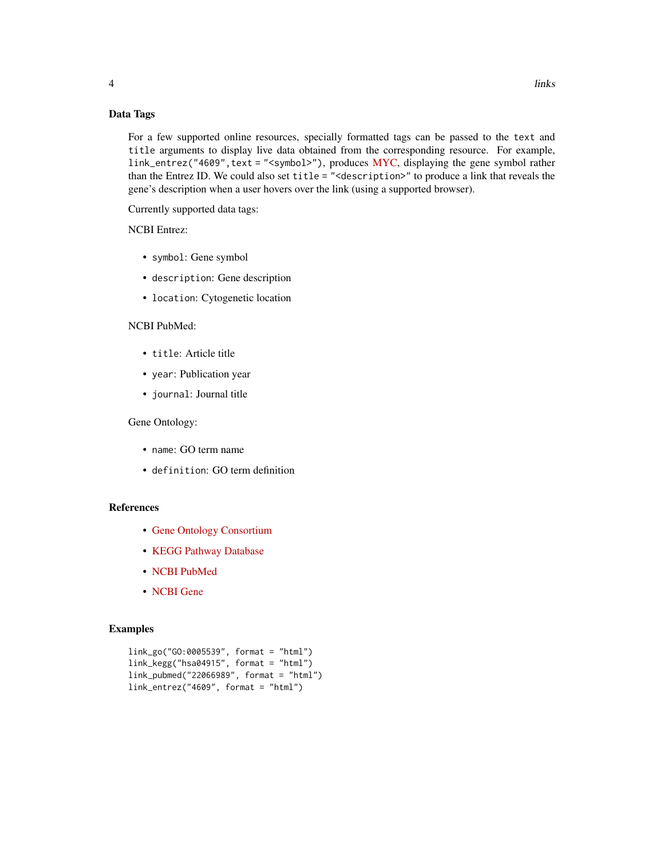#### Data Tags

For a few supported online resources, specially formatted tags can be passed to the text and title arguments to display live data obtained from the corresponding resource. For example, link\_entrez("4609", text = "<symbol>"), produces [MYC,](https://www.ncbi.nlm.nih.gov/gene/4609) displaying the gene symbol rather than the Entrez ID. We could also set title = "<description>" to produce a link that reveals the gene's description when a user hovers over the link (using a supported browser).

Currently supported data tags:

#### NCBI Entrez:

- symbol: Gene symbol
- description: Gene description
- location: Cytogenetic location

#### NCBI PubMed:

- title: Article title
- year: Publication year
- journal: Journal title

#### Gene Ontology:

- name: GO term name
- definition: GO term definition

#### References

- [Gene Ontology Consortium](http://amigo.geneontology.org)
- [KEGG Pathway Database](https://www.kegg.jp/kegg/pathway.html)
- [NCBI PubMed](https://pubmed.ncbi.nlm.nih.gov)
- [NCBI Gene](https://www.ncbi.nlm.nih.gov/gene)

#### Examples

```
link_go("GO:0005539", format = "html")
link_kegg("hsa04915", format = "html")
link_pubmed("22066989", format = "html")
link_entrez("4609", format = "html")
```
4 links and the set of the set of the set of the set of the set of the set of the set of the set of the set of the set of the set of the set of the set of the set of the set of the set of the set of the set of the set of t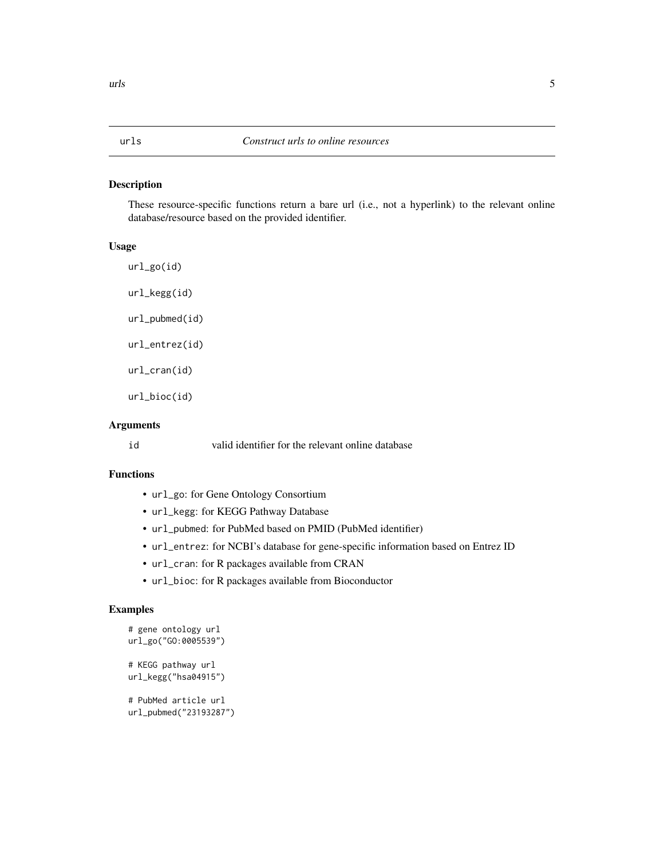#### <span id="page-4-0"></span>Description

These resource-specific functions return a bare url (i.e., not a hyperlink) to the relevant online database/resource based on the provided identifier.

#### Usage

url\_go(id) url\_kegg(id) url\_pubmed(id) url\_entrez(id) url\_cran(id)

url\_bioc(id)

#### Arguments

id valid identifier for the relevant online database

#### Functions

- url\_go: for Gene Ontology Consortium
- url\_kegg: for KEGG Pathway Database
- url\_pubmed: for PubMed based on PMID (PubMed identifier)
- url\_entrez: for NCBI's database for gene-specific information based on Entrez ID
- url\_cran: for R packages available from CRAN
- url\_bioc: for R packages available from Bioconductor

#### Examples

```
# gene ontology url
url_go("GO:0005539")
# KEGG pathway url
url_kegg("hsa04915")
# PubMed article url
url_pubmed("23193287")
```